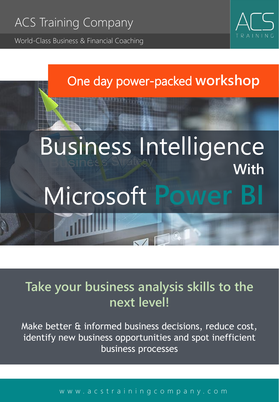World-Class Business & Financial Coaching



### One day power-packed **workshop**

# Business Intelligence **With** Microsoft **Power BI**

## **Take your business analysis skills to the next level!**

Make better & informed business decisions, reduce cost, identify new business opportunities and spot inefficient business processes

#### [w w w . a c s t r a i n i n g c o m p a n y . c o m](http://www.acstrainingcompany.com/)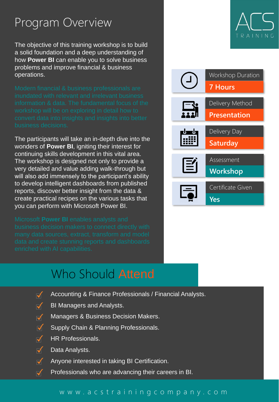### Program Overview

The objective of this training workshop is to build a solid foundation and a deep understanding of how **Power BI** can enable you to solve business problems and improve financial & business operations.

The participants will take an in-depth dive into the wonders of **Power BI**, igniting their interest for continuing skills development in this vital area. The workshop is designed not only to provide a very detailed and value adding walk-through but will also add immensely to the participant's ability to develop intelligent dashboards from published reports, discover better insight from the data & create practical recipes on the various tasks that you can perform with Microsoft Power BI.

### Who Should Attend

- $\overline{\mathsf{M}}$ Accounting & Finance Professionals / Financial Analysts.
- $\overline{\blacktriangledown}$ BI Managers and Analysts.
- $\overline{\mathcal{A}}$ Managers & Business Decision Makers.
- $\overline{\mathbf{v}}$ Supply Chain & Planning Professionals.
- $\overline{\mathbf{v}}$ HR Professionals.
- $\overline{\blacktriangledown}$ Data Analysts.
- $\overline{\mathcal{M}}$ Anyone interested in taking BI Certification.
- $\overline{\blacktriangleleft}$ Professionals who are advancing their careers in BI.



#### [w w w . a c s t r a i n i n g c o m p a n y . c o m](http://www.acstrainingcompany.com/)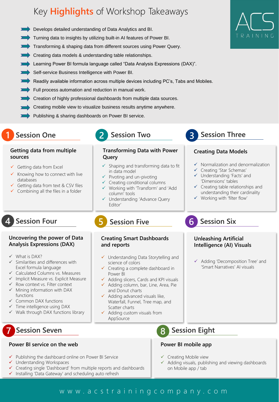### Key **Highlights** of Workshop Takeaways

- **Develops detailed understanding of Data Analytics and BI.**
- Turning data to insights by utilizing built-in AI features of Power BI.
- Transforming & shaping data from different sources using Power Query.
- Creating data models & understanding table relationships.
- Learning Power BI formula language called "Data Analysis Expressions (DAX)".
- Self-service Business Intelligence with Power BI.
- Readily available information across multiple devices including PC's, Tabs and Mobiles.
- Full process automation and reduction in manual work.
- Creation of highly professional dashboards from multiple data sources.
- Creating mobile view to visualize business results anytime anywhere.
- Publishing & sharing dashboards on Power BI service.
- **1 Session One**

#### **Getting data from multiple sources**

- $\checkmark$  Getting data from Excel
- $\checkmark$  Knowing how to connect with live databases
- Getting data from text & CSV files
- $\checkmark$  Combining all the files in a folder

#### **Uncovering the power of Data Analysis Expressions (DAX)**

- ✓ What is DAX?
- ✓ Similarities and differences with Excel formula language
- ✓ Calculated Columns vs. Measures
- ✓ Implicit Measure vs. Explicit Measure
- ✓ Row context vs. Filter context
- ✓ Mining information with DAX functions
- ✓ Common DAX functions
- ✓ Time intelligence using DAX
- ✓ Walk through DAX functions library

### **7 Session Seven 8 Session Eight**

#### **Power BI service on the web**

- ✓ Publishing the dashboard online on Power BI Service
- ✓ Understanding Workspaces
- ✓ Creating single 'Dashboard' from multiple reports and dashboards
- ✓ Installing 'Data Gateway' and scheduling auto refresh

### **2 Session Two**

#### **Transforming Data with Power Query**

- ✓ Shaping and transforming data to fit in data model
- $\checkmark$  Pivoting and un-pivoting
- ✓ Creating conditional columns ✓ Working with 'Transform' and 'Add
- column' tools
- ✓ Understanding 'Advance Query Editor'

#### **4** Session Four<br> **6** Session Five **6 5**

#### **Creating Smart Dashboards and reports**

- ✓ Understanding Data Storytelling and science of colors
- ✓ Creating a complete dashboard in Power BI
- ✓ Adding slicers, Cards and KPI visuals
- ✓ Adding column, bar, Line, Area, Pie and Donut charts
- ✓ Adding advanced visuals like, Waterfall, Funnel, Tree map, and Scatter charts
- $\checkmark$  Adding custom visuals from AppSource

#### **Power BI mobile app**

- ✓ Creating Mobile view
- ✓ Adding visuals, publishing and viewing dashboards on Mobile app / tab

#### www.acstrainingcompany.com



### **3 Session Three**

#### **Creating Data Models**

- ✓ Normalization and denormalization
- ✓ Creating 'Star Schemas'
- ✓ Understanding 'Facts' and 'Dimensions' tables
- $\checkmark$  Creating table relationships and understanding their cardinality
- ✓ Working with 'filter flow'

**Session Six**

#### **Unleashing Artificial Intelligence (AI) Visuals**

✓ Adding 'Decomposition Tree' and 'Smart Narratives' AI visuals